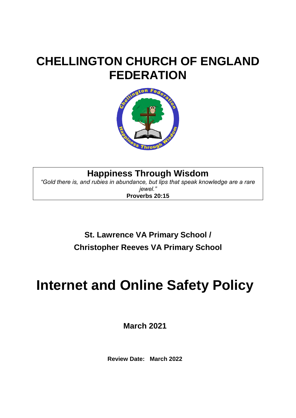# **CHELLINGTON CHURCH OF ENGLAND FEDERATION**



**Happiness Through Wisdom**

*"Gold there is, and rubies in abundance, but lips that speak knowledge are a rare jewel."* **Proverbs 20:15**

> **St. Lawrence VA Primary School / Christopher Reeves VA Primary School**

# **Internet and Online Safety Policy**

**March 2021**

**Review Date: March 2022**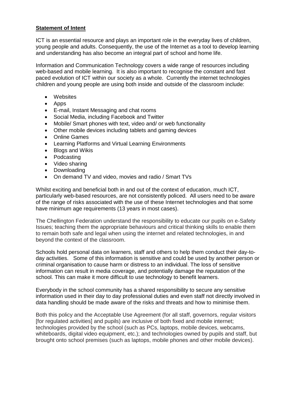#### **Statement of Intent**

ICT is an essential resource and plays an important role in the everyday lives of children, young people and adults. Consequently, the use of the Internet as a tool to develop learning and understanding has also become an integral part of school and home life.

Information and Communication Technology covers a wide range of resources including web-based and mobile learning. It is also important to recognise the constant and fast paced evolution of ICT within our society as a whole. Currently the internet technologies children and young people are using both inside and outside of the classroom include:

- Websites
- Apps
- E-mail, Instant Messaging and chat rooms
- Social Media, including Facebook and Twitter
- Mobile/ Smart phones with text, video and/ or web functionality
- Other mobile devices including tablets and gaming devices
- Online Games
- Learning Platforms and Virtual Learning Environments
- Blogs and Wikis
- Podcasting
- Video sharing
- Downloading
- On demand TV and video, movies and radio / Smart TVs

Whilst exciting and beneficial both in and out of the context of education, much ICT, particularly web-based resources, are not consistently policed. All users need to be aware of the range of risks associated with the use of these Internet technologies and that some have minimum age requirements (13 years in most cases).

The Chellington Federation understand the responsibility to educate our pupils on e-Safety Issues; teaching them the appropriate behaviours and critical thinking skills to enable them to remain both safe and legal when using the internet and related technologies, in and beyond the context of the classroom.

Schools hold personal data on learners, staff and others to help them conduct their day-today activities. Some of this information is sensitive and could be used by another person or criminal organisation to cause harm or distress to an individual. The loss of sensitive information can result in media coverage, and potentially damage the reputation of the school. This can make it more difficult to use technology to benefit learners.

Everybody in the school community has a shared responsibility to secure any sensitive information used in their day to day professional duties and even staff not directly involved in data handling should be made aware of the risks and threats and how to minimise them.

Both this policy and the Acceptable Use Agreement (for all staff, governors, regular visitors [for regulated activities] and pupils) are inclusive of both fixed and mobile internet; technologies provided by the school (such as PCs, laptops, mobile devices, webcams, whiteboards, digital video equipment, etc.); and technologies owned by pupils and staff, but brought onto school premises (such as laptops, mobile phones and other mobile devices).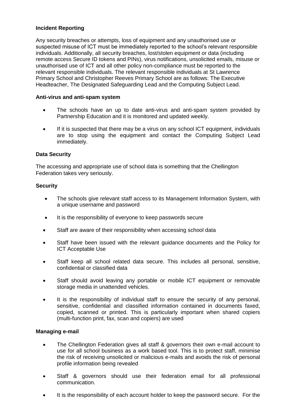### **Incident Reporting**

Any security breaches or attempts, loss of equipment and any unauthorised use or suspected misuse of ICT must be immediately reported to the school's relevant responsible individuals. Additionally, all security breaches, lost/stolen equipment or data (including remote access Secure ID tokens and PINs), virus notifications, unsolicited emails, misuse or unauthorised use of ICT and all other policy non-compliance must be reported to the relevant responsible individuals. The relevant responsible individuals at St Lawrence Primary School and Christopher Reeves Primary School are as follows: The Executive Headteacher, The Designated Safeguarding Lead and the Computing Subject Lead.

#### **Anti-virus and anti-spam system**

- The schools have an up to date anti-virus and anti-spam system provided by Partnership Education and it is monitored and updated weekly.
- If it is suspected that there may be a virus on any school ICT equipment, individuals are to stop using the equipment and contact the Computing Subject Lead immediately.

## **Data Security**

The accessing and appropriate use of school data is something that the Chellington Federation takes very seriously.

## **Security**

- The schools give relevant staff access to its Management Information System, with a unique username and password
- It is the responsibility of everyone to keep passwords secure
- Staff are aware of their responsibility when accessing school data
- Staff have been issued with the relevant guidance documents and the Policy for ICT Acceptable Use
- Staff keep all school related data secure. This includes all personal, sensitive, confidential or classified data
- Staff should avoid leaving any portable or mobile ICT equipment or removable storage media in unattended vehicles.
- It is the responsibility of individual staff to ensure the security of any personal, sensitive, confidential and classified information contained in documents faxed, copied, scanned or printed. This is particularly important when shared copiers (multi-function print, fax, scan and copiers) are used

#### **Managing e-mail**

- The Chellington Federation gives all staff & governors their own e-mail account to use for all school business as a work based tool. This is to protect staff, minimise the risk of receiving unsolicited or malicious e-mails and avoids the risk of personal profile information being revealed
- Staff & governors should use their federation email for all professional communication.
- It is the responsibility of each account holder to keep the password secure. For the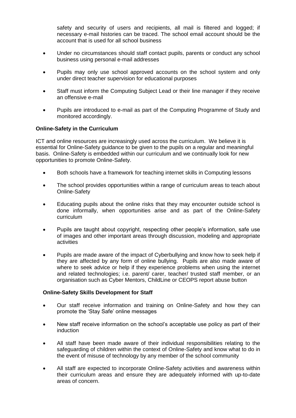safety and security of users and recipients, all mail is filtered and logged; if necessary e-mail histories can be traced. The school email account should be the account that is used for all school business

- Under no circumstances should staff contact pupils, parents or conduct any school business using personal e-mail addresses
- Pupils may only use school approved accounts on the school system and only under direct teacher supervision for educational purposes
- Staff must inform the Computing Subject Lead or their line manager if they receive an offensive e-mail
- Pupils are introduced to e-mail as part of the Computing Programme of Study and monitored accordingly.

#### **Online-Safety in the Curriculum**

ICT and online resources are increasingly used across the curriculum. We believe it is essential for Online-Safety guidance to be given to the pupils on a regular and meaningful basis. Online-Safety is embedded within our curriculum and we continually look for new opportunities to promote Online-Safety.

- Both schools have a framework for teaching internet skills in Computing lessons
- The school provides opportunities within a range of curriculum areas to teach about Online-Safety
- Educating pupils about the online risks that they may encounter outside school is done informally, when opportunities arise and as part of the Online-Safety curriculum
- Pupils are taught about copyright, respecting other people's information, safe use of images and other important areas through discussion, modeling and appropriate activities
- Pupils are made aware of the impact of Cyberbullying and know how to seek help if they are affected by any form of online bullying. Pupils are also made aware of where to seek advice or help if they experience problems when using the internet and related technologies; i.e. parent/ carer, teacher/ trusted staff member, or an organisation such as Cyber Mentors, ChildLine or CEOPS report abuse button

#### **Online-Safety Skills Development for Staff**

- Our staff receive information and training on Online-Safety and how they can promote the 'Stay Safe' online messages
- New staff receive information on the school's acceptable use policy as part of their induction
- All staff have been made aware of their individual responsibilities relating to the safeguarding of children within the context of Online-Safety and know what to do in the event of misuse of technology by any member of the school community
- All staff are expected to incorporate Online-Safety activities and awareness within their curriculum areas and ensure they are adequately informed with up-to-date areas of concern.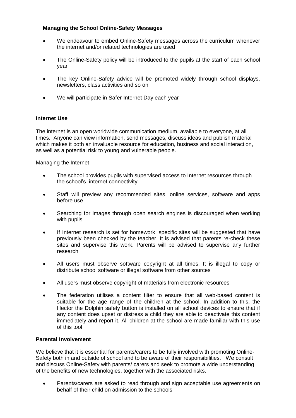## **Managing the School Online-Safety Messages**

- We endeavour to embed Online-Safety messages across the curriculum whenever the internet and/or related technologies are used
- The Online-Safety policy will be introduced to the pupils at the start of each school year
- The key Online-Safety advice will be promoted widely through school displays, newsletters, class activities and so on
- We will participate in Safer Internet Day each year

# **Internet Use**

The internet is an open worldwide communication medium, available to everyone, at all times. Anyone can view information, send messages, discuss ideas and publish material which makes it both an invaluable resource for education, business and social interaction, as well as a potential risk to young and vulnerable people.

Managing the Internet

- The school provides pupils with supervised access to Internet resources through the school's internet connectivity
- Staff will preview any recommended sites, online services, software and apps before use
- Searching for images through open search engines is discouraged when working with pupils
- If Internet research is set for homework, specific sites will be suggested that have previously been checked by the teacher. It is advised that parents re-check these sites and supervise this work. Parents will be advised to supervise any further research
- All users must observe software copyright at all times. It is illegal to copy or distribute school software or illegal software from other sources
- All users must observe copyright of materials from electronic resources
- The federation utilises a content filter to ensure that all web-based content is suitable for the age range of the children at the school. In addition to this, the Hector the Dolphin safety button is installed on all school devices to ensure that if any content does upset or distress a child they are able to deactivate this content immediately and report it. All children at the school are made familiar with this use of this tool

#### **Parental Involvement**

We believe that it is essential for parents/carers to be fully involved with promoting Online-Safety both in and outside of school and to be aware of their responsibilities. We consult and discuss Online-Safety with parents/ carers and seek to promote a wide understanding of the benefits of new technologies, together with the associated risks.

• Parents/carers are asked to read through and sign acceptable use agreements on behalf of their child on admission to the schools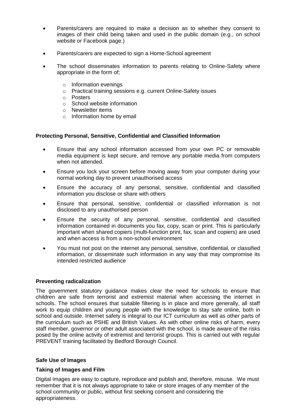- Parents/carers are required to make a decision as to whether they consent to images of their child being taken and used in the public domain (e.g., on school website or Facebook page.)
- Parents/carers are expected to sign a Home-School agreement
- The school disseminates information to parents relating to Online-Safety where appropriate in the form of;
	- o Information evenings
	- o Practical training sessions e.g. current Online-Safety issues
	- o Posters
	- o School website information
	- o Newsletter items
	- o Information home by email

#### **Protecting Personal, Sensitive, Confidential and Classified Information**

- Ensure that any school information accessed from your own PC or removable media equipment is kept secure, and remove any portable media from computers when not attended.
- Ensure you lock your screen before moving away from your computer during your normal working day to prevent unauthorised access
- Ensure the accuracy of any personal, sensitive, confidential and classified information you disclose or share with others
- Ensure that personal, sensitive, confidential or classified information is not disclosed to any unauthorised person
- Ensure the security of any personal, sensitive, confidential and classified information contained in documents you fax, copy, scan or print. This is particularly important when shared copiers (multi-function print, fax, scan and copiers) are used and when access is from a non-school environment
- You must not post on the internet any personal, sensitive, confidential, or classified information, or disseminate such information in any way that may compromise its intended restricted audience

#### **Preventing radicalization**

The government statutory guidance makes clear the need for schools to ensure that children are safe from terrorist and extremist material when accessing the internet in schools. The school ensures that suitable filtering is in place and more generally, all staff work to equip children and young people with the knowledge to stay safe online, both in school and outside. Internet safety is integral to our ICT curriculum as well as other parts of the curriculum such as PSHE and British Values. As with other online risks of harm, every staff member, governor or other adult associated with the school, is made aware of the risks posed by the online activity of extremist and terrorist groups. This is carried out with regular PREVENT training facilitated by Bedford Borough Council.

#### **Safe Use of Images**

#### **Taking of Images and Film**

Digital images are easy to capture, reproduce and publish and, therefore, misuse. We must remember that it is not always appropriate to take or store images of any member of the school community or public, without first seeking consent and considering the appropriateness.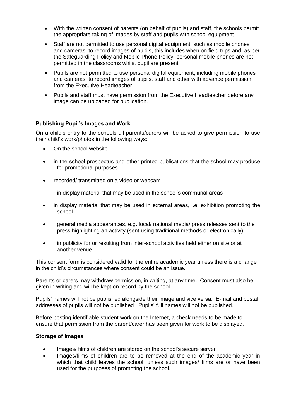- With the written consent of parents (on behalf of pupils) and staff, the schools permit the appropriate taking of images by staff and pupils with school equipment
- Staff are not permitted to use personal digital equipment, such as mobile phones and cameras, to record images of pupils, this includes when on field trips and, as per the Safeguarding Policy and Mobile Phone Policy, personal mobile phones are not permitted in the classrooms whilst pupil are present.
- Pupils are not permitted to use personal digital equipment, including mobile phones and cameras, to record images of pupils, staff and other with advance permission from the Executive Headteacher.
- Pupils and staff must have permission from the Executive Headteacher before any image can be uploaded for publication.

#### **Publishing Pupil's Images and Work**

On a child's entry to the schools all parents/carers will be asked to give permission to use their child's work/photos in the following ways:

- On the school website
- in the school prospectus and other printed publications that the school may produce for promotional purposes
- recorded/ transmitted on a video or webcam

in display material that may be used in the school's communal areas

- in display material that may be used in external areas, i.e. exhibition promoting the school
- general media appearances, e.g. local/ national media/ press releases sent to the press highlighting an activity (sent using traditional methods or electronically)
- in publicity for or resulting from inter-school activities held either on site or at another venue

This consent form is considered valid for the entire academic year unless there is a change in the child's circumstances where consent could be an issue.

Parents or carers may withdraw permission, in writing, at any time. Consent must also be given in writing and will be kept on record by the school.

Pupils' names will not be published alongside their image and vice versa. E-mail and postal addresses of pupils will not be published. Pupils' full names will not be published.

Before posting identifiable student work on the Internet, a check needs to be made to ensure that permission from the parent/carer has been given for work to be displayed.

#### **Storage of Images**

- Images/ films of children are stored on the school's secure server
- Images/films of children are to be removed at the end of the academic year in which that child leaves the school, unless such images/ films are or have been used for the purposes of promoting the school.